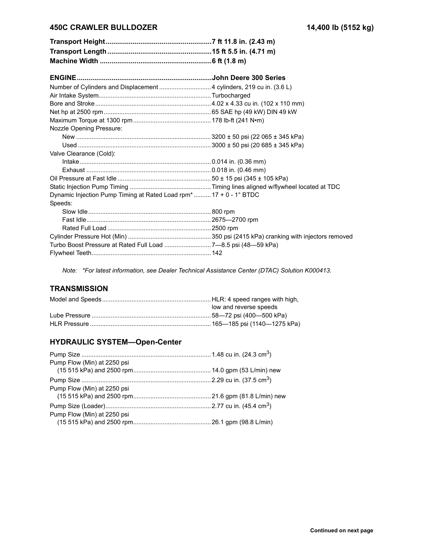### **450C CRAWLER BULLDOZER 14,400 lb (5152 kg)**

| Nozzle Opening Pressure:                                                      |  |
|-------------------------------------------------------------------------------|--|
|                                                                               |  |
|                                                                               |  |
| Valve Clearance (Cold):                                                       |  |
|                                                                               |  |
|                                                                               |  |
|                                                                               |  |
|                                                                               |  |
| Dynamic Injection Pump Timing at Rated Load rpm <sup>*</sup> 17 + 0 - 1° BTDC |  |
| Speeds:                                                                       |  |
|                                                                               |  |
|                                                                               |  |
|                                                                               |  |
|                                                                               |  |
| Turbo Boost Pressure at Rated Full Load 7-8.5 psi (48-59 kPa)                 |  |
|                                                                               |  |

*Note: \*For latest information, see Dealer Technical Assistance Center (DTAC) Solution K000413.*

# **TRANSMISSION**

| low and reverse speeds |
|------------------------|
|                        |
|                        |

#### **HYDRAULIC SYSTEM-Open-Center**

| Pump Flow (Min) at 2250 psi |  |
|-----------------------------|--|
|                             |  |
|                             |  |
| Pump Flow (Min) at 2250 psi |  |
|                             |  |
|                             |  |
| Pump Flow (Min) at 2250 psi |  |
|                             |  |